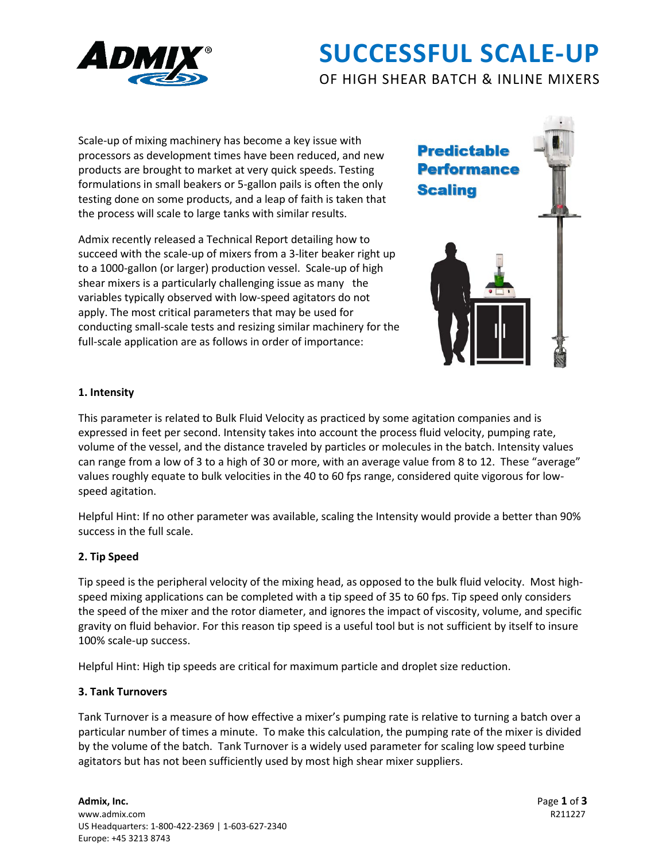

# **SUCCESSFUL SCALE-UP**

OF HIGH SHEAR BATCH & INLINE MIXERS

Scale-up of mixing machinery has become a key issue with processors as development times have been reduced, and new products are brought to market at very quick speeds. Testing formulations in small beakers or 5-gallon pails is often the only testing done on some products, and a leap of faith is taken that the process will scale to large tanks with similar results.

Admix recently released a Technical Report detailing how to succeed with the scale-up of mixers from a 3-liter beaker right up to a 1000-gallon (or larger) production vessel. Scale-up of high shear mixers is a particularly challenging issue as many the variables typically observed with low-speed agitators do not apply. The most critical parameters that may be used for conducting small-scale tests and resizing similar machinery for the full-scale application are as follows in order of importance:



# **1. Intensity**

This parameter is related to Bulk Fluid Velocity as practiced by some agitation companies and is expressed in feet per second. Intensity takes into account the process fluid velocity, pumping rate, volume of the vessel, and the distance traveled by particles or molecules in the batch. Intensity values can range from a low of 3 to a high of 30 or more, with an average value from 8 to 12. These "average" values roughly equate to bulk velocities in the 40 to 60 fps range, considered quite vigorous for lowspeed agitation.

Helpful Hint: If no other parameter was available, scaling the Intensity would provide a better than 90% success in the full scale.

# **2. Tip Speed**

Tip speed is the peripheral velocity of the mixing head, as opposed to the bulk fluid velocity. Most highspeed mixing applications can be completed with a tip speed of 35 to 60 fps. Tip speed only considers the speed of the mixer and the rotor diameter, and ignores the impact of viscosity, volume, and specific gravity on fluid behavior. For this reason tip speed is a useful tool but is not sufficient by itself to insure 100% scale-up success.

Helpful Hint: High tip speeds are critical for maximum particle and droplet size reduction.

### **3. Tank Turnovers**

Tank Turnover is a measure of how effective a mixer's pumping rate is relative to turning a batch over a particular number of times a minute. To make this calculation, the pumping rate of the mixer is divided by the volume of the batch. Tank Turnover is a widely used parameter for scaling low speed turbine agitators but has not been sufficiently used by most high shear mixer suppliers.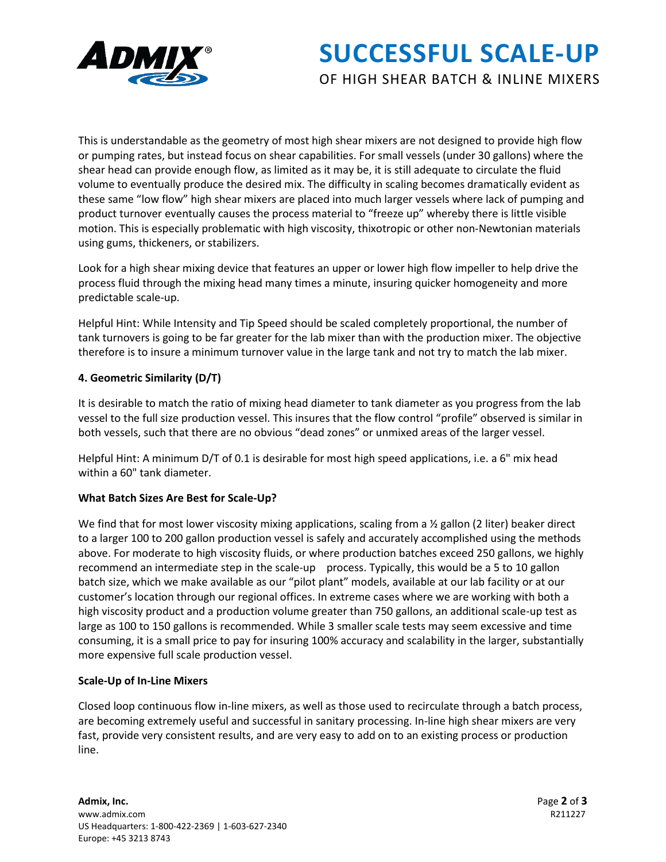

# **SUCCESSFUL SCALE-UP**

# OF HIGH SHEAR BATCH & INLINE MIXERS

This is understandable as the geometry of most high shear mixers are not designed to provide high flow or pumping rates, but instead focus on shear capabilities. For small vessels (under 30 gallons) where the shear head can provide enough flow, as limited as it may be, it is still adequate to circulate the fluid volume to eventually produce the desired mix. The difficulty in scaling becomes dramatically evident as these same "low flow" high shear mixers are placed into much larger vessels where lack of pumping and product turnover eventually causes the process material to "freeze up" whereby there is little visible motion. This is especially problematic with high viscosity, thixotropic or other non-Newtonian materials using gums, thickeners, or stabilizers.

Look for a high shear mixing device that features an upper or lower high flow impeller to help drive the process fluid through the mixing head many times a minute, insuring quicker homogeneity and more predictable scale-up.

Helpful Hint: While Intensity and Tip Speed should be scaled completely proportional, the number of tank turnovers is going to be far greater for the lab mixer than with the production mixer. The objective therefore is to insure a minimum turnover value in the large tank and not try to match the lab mixer.

# **4. Geometric Similarity (D/T)**

It is desirable to match the ratio of mixing head diameter to tank diameter as you progress from the lab vessel to the full size production vessel. This insures that the flow control "profile" observed is similar in both vessels, such that there are no obvious "dead zones" or unmixed areas of the larger vessel.

Helpful Hint: A minimum D/T of 0.1 is desirable for most high speed applications, i.e. a 6" mix head within a 60" tank diameter.

### **What Batch Sizes Are Best for Scale-Up?**

We find that for most lower viscosity mixing applications, scaling from a  $\frac{1}{2}$  gallon (2 liter) beaker direct to a larger 100 to 200 gallon production vessel is safely and accurately accomplished using the methods above. For moderate to high viscosity fluids, or where production batches exceed 250 gallons, we highly recommend an intermediate step in the scale-up process. Typically, this would be a 5 to 10 gallon batch size, which we make available as our "pilot plant" models, available at our lab facility or at our customer's location through our regional offices. In extreme cases where we are working with both a high viscosity product and a production volume greater than 750 gallons, an additional scale-up test as large as 100 to 150 gallons is recommended. While 3 smaller scale tests may seem excessive and time consuming, it is a small price to pay for insuring 100% accuracy and scalability in the larger, substantially more expensive full scale production vessel.

### **Scale-Up of In-Line Mixers**

Closed loop continuous flow in-line mixers, as well as those used to recirculate through a batch process, are becoming extremely useful and successful in sanitary processing. In-line high shear mixers are very fast, provide very consistent results, and are very easy to add on to an existing process or production line.